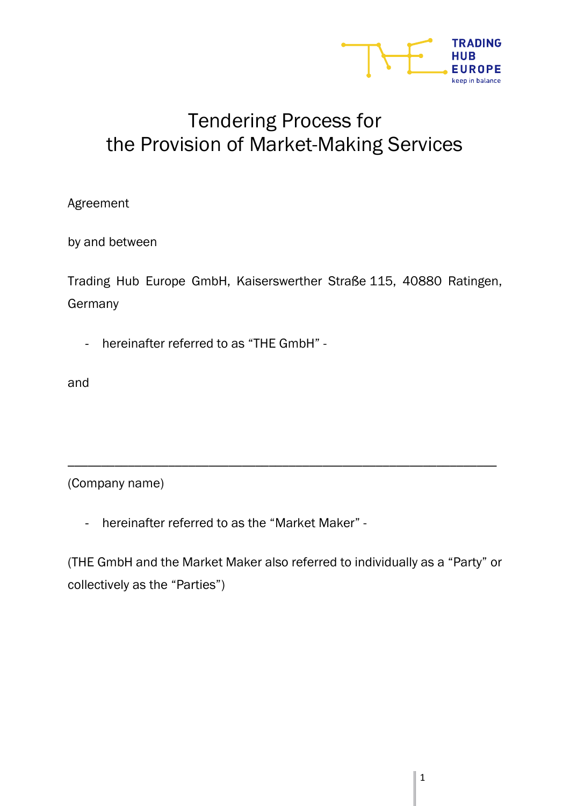

# Tendering Process for the Provision of Market-Making Services

Agreement

by and between

Trading Hub Europe GmbH, Kaiserswerther Straße 115, 40880 Ratingen, Germany

- hereinafter referred to as "THE GmbH" -

and

(Company name)

- hereinafter referred to as the "Market Maker" -

(THE GmbH and the Market Maker also referred to individually as a "Party" or collectively as the "Parties")

\_\_\_\_\_\_\_\_\_\_\_\_\_\_\_\_\_\_\_\_\_\_\_\_\_\_\_\_\_\_\_\_\_\_\_\_\_\_\_\_\_\_\_\_\_\_\_\_\_\_\_\_\_\_\_\_\_\_\_\_\_\_\_\_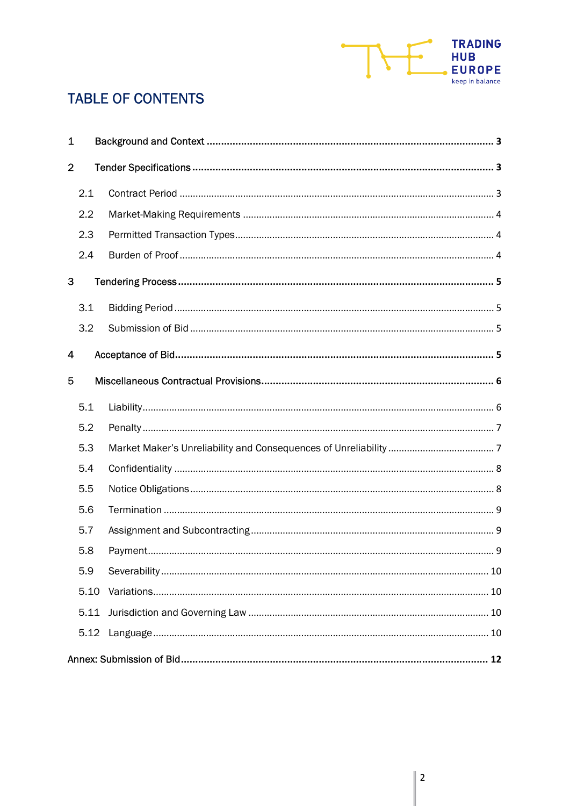

## **TABLE OF CONTENTS**

| 1              |      |  |  |  |  |
|----------------|------|--|--|--|--|
| $\overline{2}$ |      |  |  |  |  |
|                | 2.1  |  |  |  |  |
|                | 2.2  |  |  |  |  |
|                | 2.3  |  |  |  |  |
|                | 2.4  |  |  |  |  |
| 3              |      |  |  |  |  |
|                | 3.1  |  |  |  |  |
|                | 3.2  |  |  |  |  |
| 4              |      |  |  |  |  |
| 5              |      |  |  |  |  |
|                | 5.1  |  |  |  |  |
|                | 5.2  |  |  |  |  |
|                | 5.3  |  |  |  |  |
|                | 5.4  |  |  |  |  |
|                | 5.5  |  |  |  |  |
|                | 5.6  |  |  |  |  |
|                | 5.7  |  |  |  |  |
|                | 5.8  |  |  |  |  |
|                | 5.9  |  |  |  |  |
|                | 5.10 |  |  |  |  |
|                | 5.11 |  |  |  |  |
|                | 5.12 |  |  |  |  |
|                |      |  |  |  |  |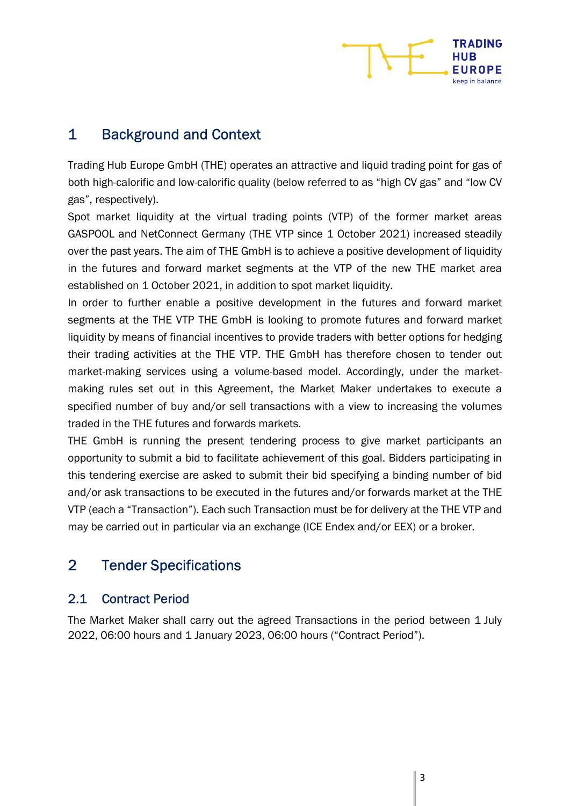

## 1 Background and Context

Trading Hub Europe GmbH (THE) operates an attractive and liquid trading point for gas of both high-calorific and low-calorific quality (below referred to as "high CV gas" and "low CV gas", respectively).

Spot market liquidity at the virtual trading points (VTP) of the former market areas GASPOOL and NetConnect Germany (THE VTP since 1 October 2021) increased steadily over the past years. The aim of THE GmbH is to achieve a positive development of liquidity in the futures and forward market segments at the VTP of the new THE market area established on 1 October 2021, in addition to spot market liquidity.

In order to further enable a positive development in the futures and forward market segments at the THE VTP THE GmbH is looking to promote futures and forward market liquidity by means of financial incentives to provide traders with better options for hedging their trading activities at the THE VTP. THE GmbH has therefore chosen to tender out market-making services using a volume-based model. Accordingly, under the marketmaking rules set out in this Agreement, the Market Maker undertakes to execute a specified number of buy and/or sell transactions with a view to increasing the volumes traded in the THE futures and forwards markets.

THE GmbH is running the present tendering process to give market participants an opportunity to submit a bid to facilitate achievement of this goal. Bidders participating in this tendering exercise are asked to submit their bid specifying a binding number of bid and/or ask transactions to be executed in the futures and/or forwards market at the THE VTP (each a "Transaction"). Each such Transaction must be for delivery at the THE VTP and may be carried out in particular via an exchange (ICE Endex and/or EEX) or a broker.

## 2 Tender Specifications

#### 2.1 Contract Period

The Market Maker shall carry out the agreed Transactions in the period between 1 July 2022, 06:00 hours and 1 January 2023, 06:00 hours ("Contract Period").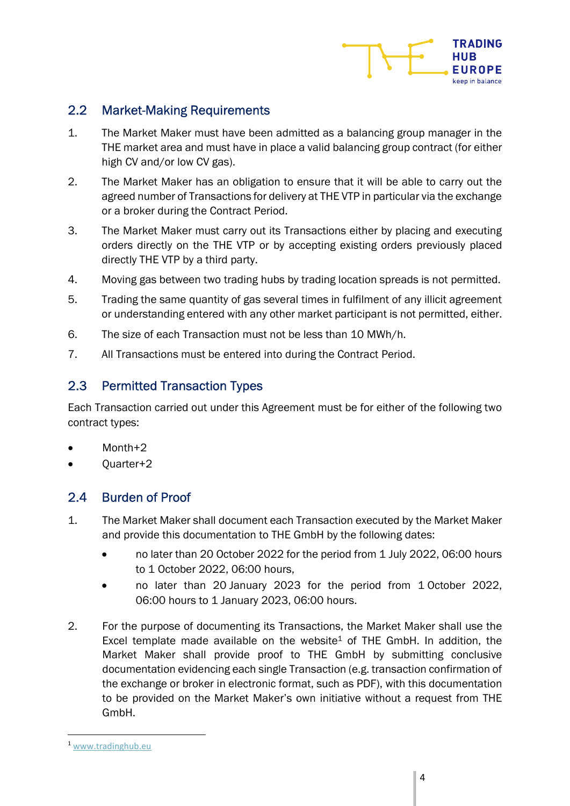

#### 2.2 Market-Making Requirements

- 1. The Market Maker must have been admitted as a balancing group manager in the THE market area and must have in place a valid balancing group contract (for either high CV and/or low CV gas).
- 2. The Market Maker has an obligation to ensure that it will be able to carry out the agreed number of Transactions for delivery at THE VTP in particular via the exchange or a broker during the Contract Period.
- 3. The Market Maker must carry out its Transactions either by placing and executing orders directly on the THE VTP or by accepting existing orders previously placed directly THE VTP by a third party.
- 4. Moving gas between two trading hubs by trading location spreads is not permitted.
- 5. Trading the same quantity of gas several times in fulfilment of any illicit agreement or understanding entered with any other market participant is not permitted, either.
- 6. The size of each Transaction must not be less than 10 MWh/h.
- 7. All Transactions must be entered into during the Contract Period.

#### 2.3 Permitted Transaction Types

Each Transaction carried out under this Agreement must be for either of the following two contract types:

- Month+2
- Quarter+2

#### 2.4 Burden of Proof

- 1. The Market Maker shall document each Transaction executed by the Market Maker and provide this documentation to THE GmbH by the following dates:
	- no later than 20 October 2022 for the period from 1 July 2022, 06:00 hours to 1 October 2022, 06:00 hours,
	- no later than 20 January 2023 for the period from 1 October 2022, 06:00 hours to 1 January 2023, 06:00 hours.
- 2. For the purpose of documenting its Transactions, the Market Maker shall use the Excel template made available on the website<sup>1</sup> of THE GmbH. In addition, the Market Maker shall provide proof to THE GmbH by submitting conclusive documentation evidencing each single Transaction (e.g. transaction confirmation of the exchange or broker in electronic format, such as PDF), with this documentation to be provided on the Market Maker's own initiative without a request from THE GmbH.

<sup>1</sup> www.tradinghub.eu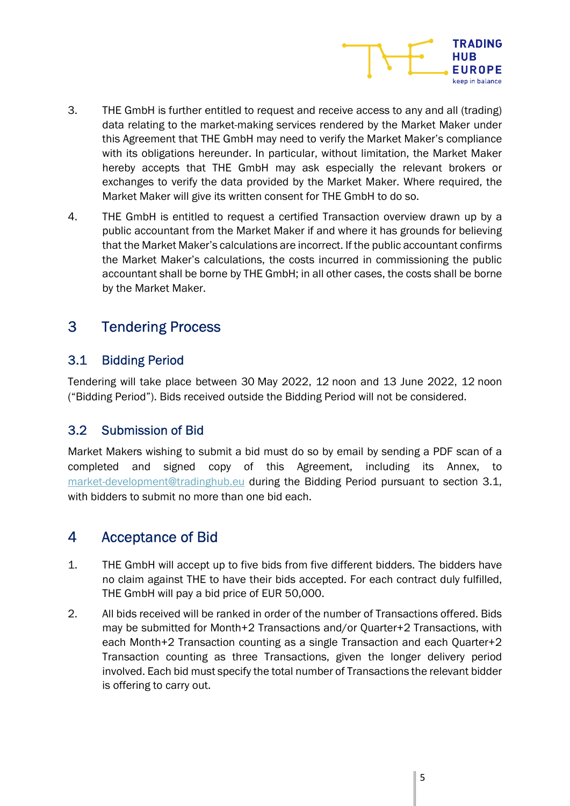

- 3. THE GmbH is further entitled to request and receive access to any and all (trading) data relating to the market-making services rendered by the Market Maker under this Agreement that THE GmbH may need to verify the Market Maker's compliance with its obligations hereunder. In particular, without limitation, the Market Maker hereby accepts that THE GmbH may ask especially the relevant brokers or exchanges to verify the data provided by the Market Maker. Where required, the Market Maker will give its written consent for THE GmbH to do so.
- 4. THE GmbH is entitled to request a certified Transaction overview drawn up by a public accountant from the Market Maker if and where it has grounds for believing that the Market Maker's calculations are incorrect. If the public accountant confirms the Market Maker's calculations, the costs incurred in commissioning the public accountant shall be borne by THE GmbH; in all other cases, the costs shall be borne by the Market Maker.

## 3 Tendering Process

#### 3.1 Bidding Period

Tendering will take place between 30 May 2022, 12 noon and 13 June 2022, 12 noon ("Bidding Period"). Bids received outside the Bidding Period will not be considered.

#### 3.2 Submission of Bid

Market Makers wishing to submit a bid must do so by email by sending a PDF scan of a completed and signed copy of this Agreement, including its Annex, to market-development@tradinghub.eu during the Bidding Period pursuant to section 3.1, with bidders to submit no more than one bid each.

## 4 Acceptance of Bid

- 1. THE GmbH will accept up to five bids from five different bidders. The bidders have no claim against THE to have their bids accepted. For each contract duly fulfilled, THE GmbH will pay a bid price of EUR 50,000.
- 2. All bids received will be ranked in order of the number of Transactions offered. Bids may be submitted for Month+2 Transactions and/or Quarter+2 Transactions, with each Month+2 Transaction counting as a single Transaction and each Quarter+2 Transaction counting as three Transactions, given the longer delivery period involved. Each bid must specify the total number of Transactions the relevant bidder is offering to carry out.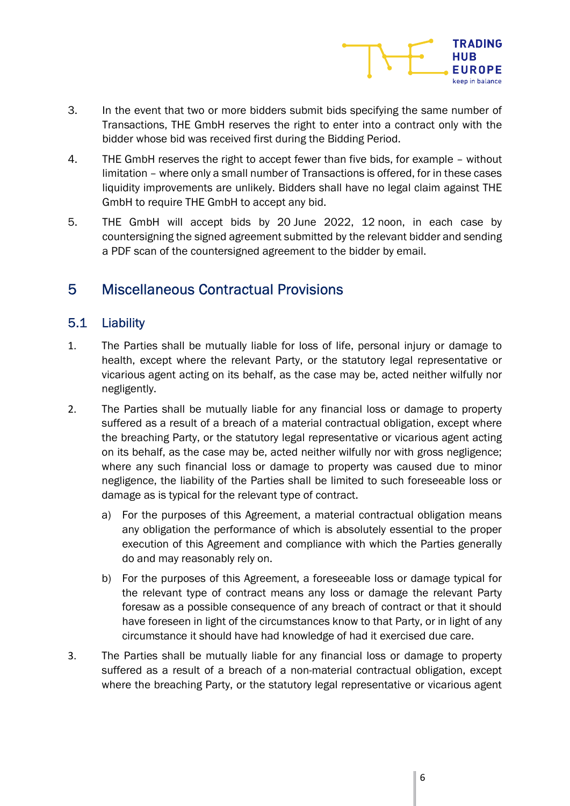

- 3. In the event that two or more bidders submit bids specifying the same number of Transactions, THE GmbH reserves the right to enter into a contract only with the bidder whose bid was received first during the Bidding Period.
- 4. THE GmbH reserves the right to accept fewer than five bids, for example without limitation – where only a small number of Transactions is offered, for in these cases liquidity improvements are unlikely. Bidders shall have no legal claim against THE GmbH to require THE GmbH to accept any bid.
- 5. THE GmbH will accept bids by 20 June 2022, 12 noon, in each case by countersigning the signed agreement submitted by the relevant bidder and sending a PDF scan of the countersigned agreement to the bidder by email.

### 5 Miscellaneous Contractual Provisions

#### 5.1 Liability

- 1. The Parties shall be mutually liable for loss of life, personal injury or damage to health, except where the relevant Party, or the statutory legal representative or vicarious agent acting on its behalf, as the case may be, acted neither wilfully nor negligently.
- 2. The Parties shall be mutually liable for any financial loss or damage to property suffered as a result of a breach of a material contractual obligation, except where the breaching Party, or the statutory legal representative or vicarious agent acting on its behalf, as the case may be, acted neither wilfully nor with gross negligence; where any such financial loss or damage to property was caused due to minor negligence, the liability of the Parties shall be limited to such foreseeable loss or damage as is typical for the relevant type of contract.
	- a) For the purposes of this Agreement, a material contractual obligation means any obligation the performance of which is absolutely essential to the proper execution of this Agreement and compliance with which the Parties generally do and may reasonably rely on.
	- b) For the purposes of this Agreement, a foreseeable loss or damage typical for the relevant type of contract means any loss or damage the relevant Party foresaw as a possible consequence of any breach of contract or that it should have foreseen in light of the circumstances know to that Party, or in light of any circumstance it should have had knowledge of had it exercised due care.
- 3. The Parties shall be mutually liable for any financial loss or damage to property suffered as a result of a breach of a non-material contractual obligation, except where the breaching Party, or the statutory legal representative or vicarious agent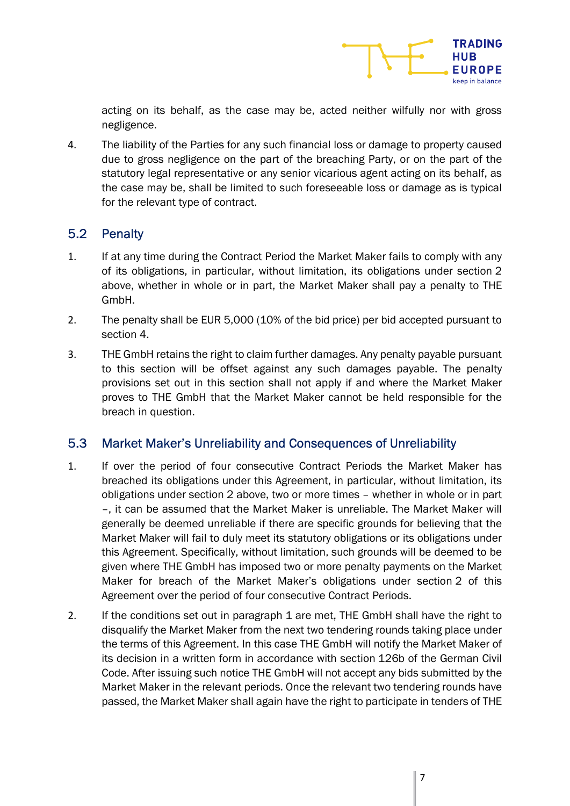

acting on its behalf, as the case may be, acted neither wilfully nor with gross negligence.

4. The liability of the Parties for any such financial loss or damage to property caused due to gross negligence on the part of the breaching Party, or on the part of the statutory legal representative or any senior vicarious agent acting on its behalf, as the case may be, shall be limited to such foreseeable loss or damage as is typical for the relevant type of contract.

#### 5.2 Penalty

- 1. If at any time during the Contract Period the Market Maker fails to comply with any of its obligations, in particular, without limitation, its obligations under section 2 above, whether in whole or in part, the Market Maker shall pay a penalty to THE GmbH.
- 2. The penalty shall be EUR 5,000 (10% of the bid price) per bid accepted pursuant to section 4.
- 3. THE GmbH retains the right to claim further damages. Any penalty payable pursuant to this section will be offset against any such damages payable. The penalty provisions set out in this section shall not apply if and where the Market Maker proves to THE GmbH that the Market Maker cannot be held responsible for the breach in question.

#### 5.3 Market Maker's Unreliability and Consequences of Unreliability

- 1. If over the period of four consecutive Contract Periods the Market Maker has breached its obligations under this Agreement, in particular, without limitation, its obligations under section 2 above, two or more times – whether in whole or in part –, it can be assumed that the Market Maker is unreliable. The Market Maker will generally be deemed unreliable if there are specific grounds for believing that the Market Maker will fail to duly meet its statutory obligations or its obligations under this Agreement. Specifically, without limitation, such grounds will be deemed to be given where THE GmbH has imposed two or more penalty payments on the Market Maker for breach of the Market Maker's obligations under section 2 of this Agreement over the period of four consecutive Contract Periods.
- 2. If the conditions set out in paragraph 1 are met, THE GmbH shall have the right to disqualify the Market Maker from the next two tendering rounds taking place under the terms of this Agreement. In this case THE GmbH will notify the Market Maker of its decision in a written form in accordance with section 126b of the German Civil Code. After issuing such notice THE GmbH will not accept any bids submitted by the Market Maker in the relevant periods. Once the relevant two tendering rounds have passed, the Market Maker shall again have the right to participate in tenders of THE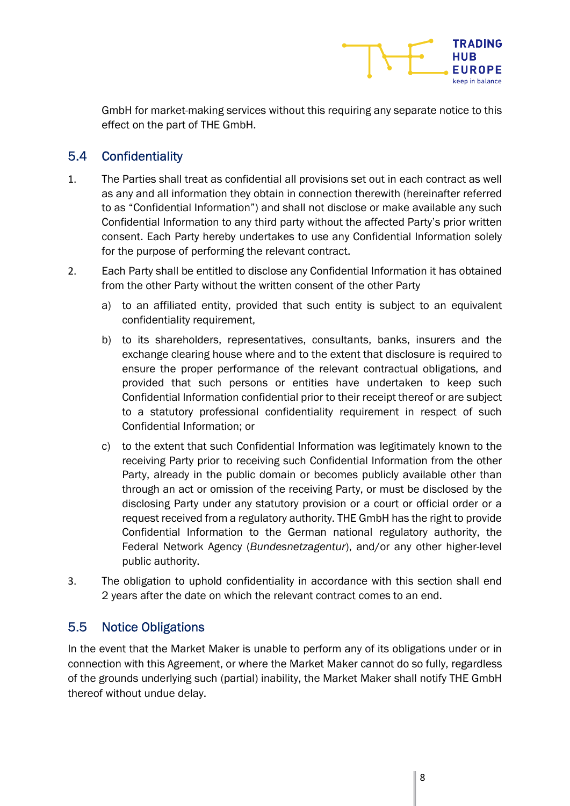

GmbH for market-making services without this requiring any separate notice to this effect on the part of THE GmbH.

#### 5.4 Confidentiality

- 1. The Parties shall treat as confidential all provisions set out in each contract as well as any and all information they obtain in connection therewith (hereinafter referred to as "Confidential Information") and shall not disclose or make available any such Confidential Information to any third party without the affected Party's prior written consent. Each Party hereby undertakes to use any Confidential Information solely for the purpose of performing the relevant contract.
- 2. Each Party shall be entitled to disclose any Confidential Information it has obtained from the other Party without the written consent of the other Party
	- a) to an affiliated entity, provided that such entity is subject to an equivalent confidentiality requirement,
	- b) to its shareholders, representatives, consultants, banks, insurers and the exchange clearing house where and to the extent that disclosure is required to ensure the proper performance of the relevant contractual obligations, and provided that such persons or entities have undertaken to keep such Confidential Information confidential prior to their receipt thereof or are subject to a statutory professional confidentiality requirement in respect of such Confidential Information; or
	- c) to the extent that such Confidential Information was legitimately known to the receiving Party prior to receiving such Confidential Information from the other Party, already in the public domain or becomes publicly available other than through an act or omission of the receiving Party, or must be disclosed by the disclosing Party under any statutory provision or a court or official order or a request received from a regulatory authority. THE GmbH has the right to provide Confidential Information to the German national regulatory authority, the Federal Network Agency (Bundesnetzagentur), and/or any other higher-level public authority.
- 3. The obligation to uphold confidentiality in accordance with this section shall end 2 years after the date on which the relevant contract comes to an end.

#### 5.5 Notice Obligations

In the event that the Market Maker is unable to perform any of its obligations under or in connection with this Agreement, or where the Market Maker cannot do so fully, regardless of the grounds underlying such (partial) inability, the Market Maker shall notify THE GmbH thereof without undue delay.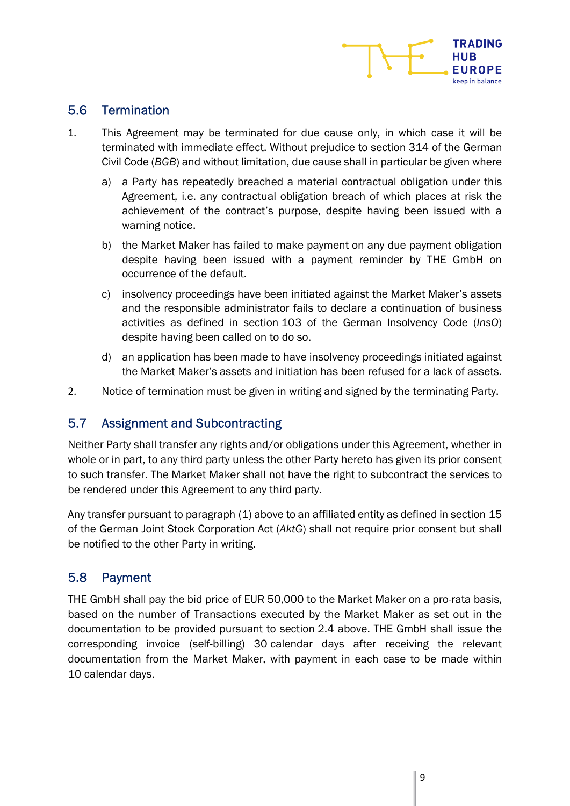

#### 5.6 Termination

- 1. This Agreement may be terminated for due cause only, in which case it will be terminated with immediate effect. Without prejudice to section 314 of the German Civil Code (BGB) and without limitation, due cause shall in particular be given where
	- a) a Party has repeatedly breached a material contractual obligation under this Agreement, i.e. any contractual obligation breach of which places at risk the achievement of the contract's purpose, despite having been issued with a warning notice.
	- b) the Market Maker has failed to make payment on any due payment obligation despite having been issued with a payment reminder by THE GmbH on occurrence of the default.
	- c) insolvency proceedings have been initiated against the Market Maker's assets and the responsible administrator fails to declare a continuation of business activities as defined in section 103 of the German Insolvency Code (InsO) despite having been called on to do so.
	- d) an application has been made to have insolvency proceedings initiated against the Market Maker's assets and initiation has been refused for a lack of assets.
- 2. Notice of termination must be given in writing and signed by the terminating Party.

#### 5.7 Assignment and Subcontracting

Neither Party shall transfer any rights and/or obligations under this Agreement, whether in whole or in part, to any third party unless the other Party hereto has given its prior consent to such transfer. The Market Maker shall not have the right to subcontract the services to be rendered under this Agreement to any third party.

Any transfer pursuant to paragraph (1) above to an affiliated entity as defined in section 15 of the German Joint Stock Corporation Act (AktG) shall not require prior consent but shall be notified to the other Party in writing.

#### 5.8 Payment

THE GmbH shall pay the bid price of EUR 50,000 to the Market Maker on a pro-rata basis, based on the number of Transactions executed by the Market Maker as set out in the documentation to be provided pursuant to section 2.4 above. THE GmbH shall issue the corresponding invoice (self-billing) 30 calendar days after receiving the relevant documentation from the Market Maker, with payment in each case to be made within 10 calendar days.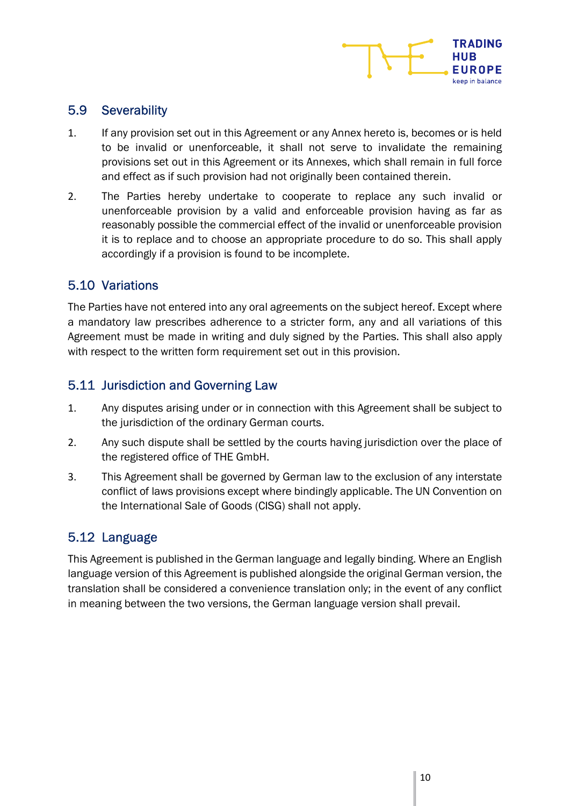

#### 5.9 Severability

- 1. If any provision set out in this Agreement or any Annex hereto is, becomes or is held to be invalid or unenforceable, it shall not serve to invalidate the remaining provisions set out in this Agreement or its Annexes, which shall remain in full force and effect as if such provision had not originally been contained therein.
- 2. The Parties hereby undertake to cooperate to replace any such invalid or unenforceable provision by a valid and enforceable provision having as far as reasonably possible the commercial effect of the invalid or unenforceable provision it is to replace and to choose an appropriate procedure to do so. This shall apply accordingly if a provision is found to be incomplete.

#### 5.10 Variations

The Parties have not entered into any oral agreements on the subject hereof. Except where a mandatory law prescribes adherence to a stricter form, any and all variations of this Agreement must be made in writing and duly signed by the Parties. This shall also apply with respect to the written form requirement set out in this provision.

#### 5.11 Jurisdiction and Governing Law

- 1. Any disputes arising under or in connection with this Agreement shall be subject to the jurisdiction of the ordinary German courts.
- 2. Any such dispute shall be settled by the courts having jurisdiction over the place of the registered office of THE GmbH.
- 3. This Agreement shall be governed by German law to the exclusion of any interstate conflict of laws provisions except where bindingly applicable. The UN Convention on the International Sale of Goods (CISG) shall not apply.

#### 5.12 Language

This Agreement is published in the German language and legally binding. Where an English language version of this Agreement is published alongside the original German version, the translation shall be considered a convenience translation only; in the event of any conflict in meaning between the two versions, the German language version shall prevail.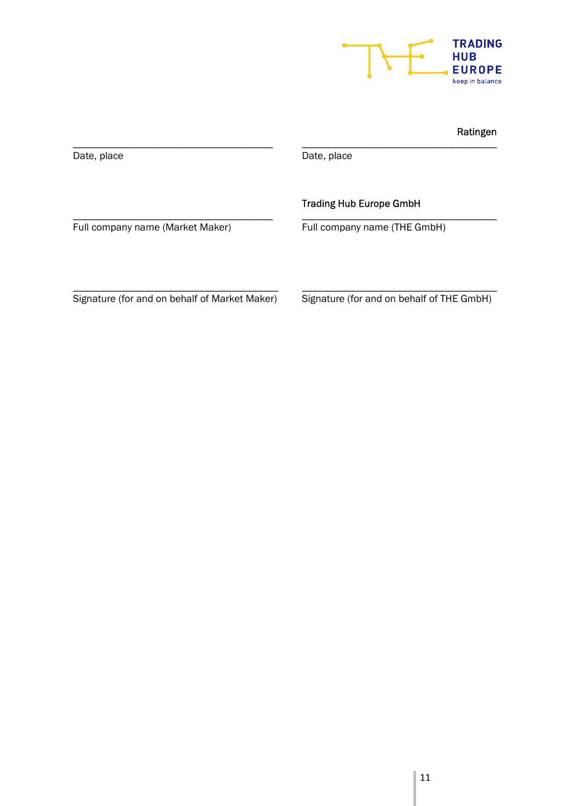

#### Ratingen

| Date, place                      | Date, place                    |
|----------------------------------|--------------------------------|
|                                  | <b>Trading Hub Europe GmbH</b> |
| Full company name (Market Maker) | Full company name (THE GmbH)   |
|                                  |                                |
|                                  |                                |

Signature (for and on behalf of Market Maker)

Signature (for and on behalf of THE GmbH)